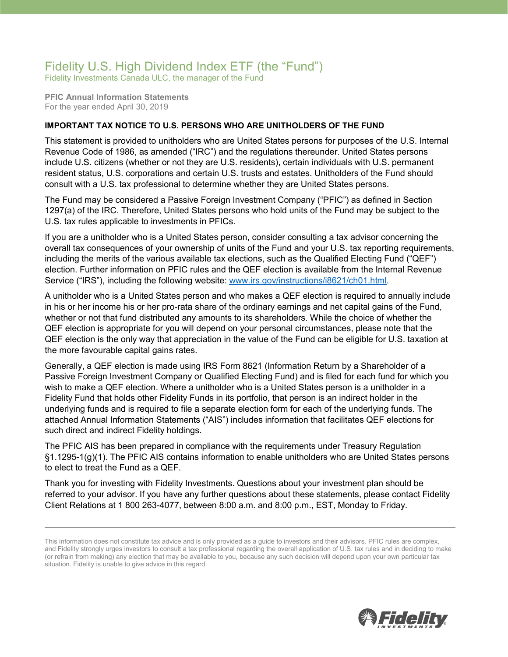## Fidelity U.S. High Dividend Index ETF (the "Fund")

Fidelity Investments Canada ULC, the manager of the Fund

**PFIC Annual Information Statements** For the year ended April 30, 2019

## **IMPORTANT TAX NOTICE TO U.S. PERSONS WHO ARE UNITHOLDERS OF THE FUND**

This statement is provided to unitholders who are United States persons for purposes of the U.S. Internal Revenue Code of 1986, as amended ("IRC") and the regulations thereunder. United States persons include U.S. citizens (whether or not they are U.S. residents), certain individuals with U.S. permanent resident status, U.S. corporations and certain U.S. trusts and estates. Unitholders of the Fund should consult with a U.S. tax professional to determine whether they are United States persons.

The Fund may be considered a Passive Foreign Investment Company ("PFIC") as defined in Section 1297(a) of the IRC. Therefore, United States persons who hold units of the Fund may be subject to the U.S. tax rules applicable to investments in PFICs.

If you are a unitholder who is a United States person, consider consulting a tax advisor concerning the overall tax consequences of your ownership of units of the Fund and your U.S. tax reporting requirements, including the merits of the various available tax elections, such as the Qualified Electing Fund ("QEF") election. Further information on PFIC rules and the QEF election is available from the Internal Revenue Service ("IRS"), including the following website: [www.irs.gov/instructions/i8621/ch01.html.](http://www.irs.gov/instructions/i8621/ch01.html)

A unitholder who is a United States person and who makes a QEF election is required to annually include in his or her income his or her pro-rata share of the ordinary earnings and net capital gains of the Fund, whether or not that fund distributed any amounts to its shareholders. While the choice of whether the QEF election is appropriate for you will depend on your personal circumstances, please note that the QEF election is the only way that appreciation in the value of the Fund can be eligible for U.S. taxation at the more favourable capital gains rates.

Generally, a QEF election is made using IRS Form 8621 (Information Return by a Shareholder of a Passive Foreign Investment Company or Qualified Electing Fund) and is filed for each fund for which you wish to make a QEF election. Where a unitholder who is a United States person is a unitholder in a Fidelity Fund that holds other Fidelity Funds in its portfolio, that person is an indirect holder in the underlying funds and is required to file a separate election form for each of the underlying funds. The attached Annual Information Statements ("AIS") includes information that facilitates QEF elections for such direct and indirect Fidelity holdings.

The PFIC AIS has been prepared in compliance with the requirements under Treasury Regulation §1.1295-1(g)(1). The PFIC AIS contains information to enable unitholders who are United States persons to elect to treat the Fund as a QEF.

Thank you for investing with Fidelity Investments. Questions about your investment plan should be referred to your advisor. If you have any further questions about these statements, please contact Fidelity Client Relations at 1 800 263-4077, between 8:00 a.m. and 8:00 p.m., EST, Monday to Friday.



This information does not constitute tax advice and is only provided as a guide to investors and their advisors. PFIC rules are complex, and Fidelity strongly urges investors to consult a tax professional regarding the overall application of U.S. tax rules and in deciding to make (or refrain from making) any election that may be available to you, because any such decision will depend upon your own particular tax situation. Fidelity is unable to give advice in this regard.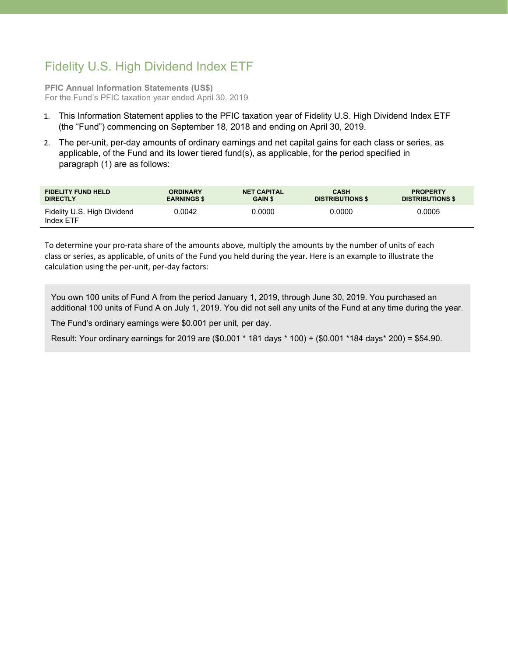## Fidelity U.S. High Dividend Index ETF

**PFIC Annual Information Statements (US\$)** For the Fund's PFIC taxation year ended April 30, 2019

- 1. This Information Statement applies to the PFIC taxation year of Fidelity U.S. High Dividend Index ETF (the "Fund") commencing on September 18, 2018 and ending on April 30, 2019.
- 2. The per-unit, per-day amounts of ordinary earnings and net capital gains for each class or series, as applicable, of the Fund and its lower tiered fund(s), as applicable, for the period specified in paragraph (1) are as follows:

| <b>FIDELITY FUND HELD</b>                | <b>ORDINARY</b>    | <b>NET CAPITAL</b> | <b>CASH</b>             | <b>PROPERTY</b>         |
|------------------------------------------|--------------------|--------------------|-------------------------|-------------------------|
| <b>DIRECTLY</b>                          | <b>EARNINGS \$</b> | <b>GAIN \$</b>     | <b>DISTRIBUTIONS \$</b> | <b>DISTRIBUTIONS \$</b> |
| Fidelity U.S. High Dividend<br>Index ETF | 0.0042             | 0.0000             | 0.0000                  | 0.0005                  |

To determine your pro-rata share of the amounts above, multiply the amounts by the number of units of each class or series, as applicable, of units of the Fund you held during the year. Here is an example to illustrate the calculation using the per-unit, per-day factors:

You own 100 units of Fund A from the period January 1, 2019, through June 30, 2019. You purchased an additional 100 units of Fund A on July 1, 2019. You did not sell any units of the Fund at any time during the year.

The Fund's ordinary earnings were \$0.001 per unit, per day.

Result: Your ordinary earnings for 2019 are (\$0.001 \* 181 days \* 100) + (\$0.001 \*184 days\* 200) = \$54.90.